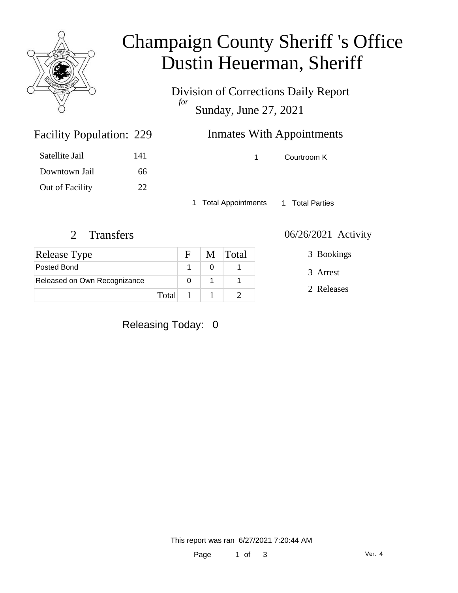

### Champaign County Sheriff 's Office Dustin Heuerman, Sheriff

Division of Corrections Daily Report *for* Sunday, June 27, 2021

| 229 | <b>Inmates With Appointments</b> |
|-----|----------------------------------|
|     |                                  |

Satellite Jail 141 Downtown Jail 66 Out of Facility 22

Facility Population: 229

1 Courtroom K

1 Total Appointments 1 Total Parties

| <b>Release Type</b>          |         |          | M Total |
|------------------------------|---------|----------|---------|
| Posted Bond                  |         |          |         |
| Released on Own Recognizance |         |          |         |
|                              | Total 1 | $\sim$ 1 |         |

2 Transfers 06/26/2021 Activity

3 Bookings

3 Arrest

2 Releases

Releasing Today: 0

This report was ran 6/27/2021 7:20:44 AM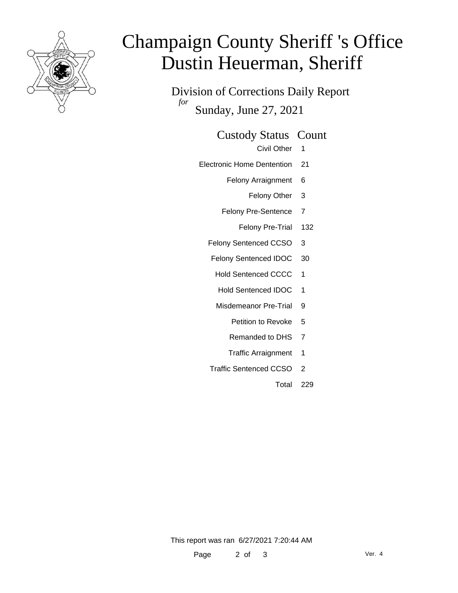

# Champaign County Sheriff 's Office Dustin Heuerman, Sheriff

Division of Corrections Daily Report *for* Sunday, June 27, 2021

#### Custody Status Count

- Civil Other 1
- Electronic Home Dentention 21
	- Felony Arraignment 6
		- Felony Other 3
	- Felony Pre-Sentence 7
		- Felony Pre-Trial 132
	- Felony Sentenced CCSO 3
	- Felony Sentenced IDOC 30
		- Hold Sentenced CCCC 1
		- Hold Sentenced IDOC 1
		- Misdemeanor Pre-Trial 9
			- Petition to Revoke 5
			- Remanded to DHS 7
			- Traffic Arraignment 1
	- Traffic Sentenced CCSO 2
		- Total 229

This report was ran 6/27/2021 7:20:44 AM